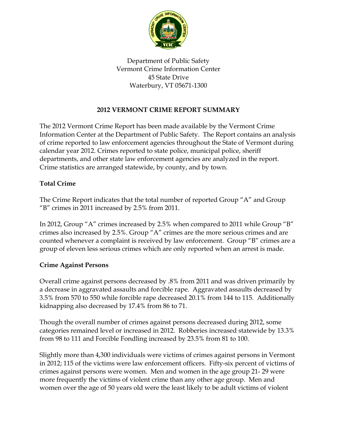

Department of Public Safety Vermont Crime Information Center 45 State Drive Waterbury, VT 05671-1300

# **2012 VERMONT CRIME REPORT SUMMARY**

The 2012 Vermont Crime Report has been made available by the Vermont Crime Information Center at the Department of Public Safety. The Report contains an analysis of crime reported to law enforcement agencies throughout the State of Vermont during calendar year 2012. Crimes reported to state police, municipal police, sheriff departments, and other state law enforcement agencies are analyzed in the report. Crime statistics are arranged statewide, by county, and by town.

### **Total Crime**

The Crime Report indicates that the total number of reported Group "A" and Group "B" crimes in 2011 increased by 2.5% from 2011.

In 2012, Group "A" crimes increased by 2.5% when compared to 2011 while Group "B" crimes also increased by 2.5%. Group "A" crimes are the more serious crimes and are counted whenever a complaint is received by law enforcement. Group "B" crimes are a group of eleven less serious crimes which are only reported when an arrest is made.

#### **Crime Against Persons**

Overall crime against persons decreased by .8% from 2011 and was driven primarily by a decrease in aggravated assaults and forcible rape. Aggravated assaults decreased by 3.5% from 570 to 550 while forcible rape decreased 20.1% from 144 to 115. Additionally kidnapping also decreased by 17.4% from 86 to 71.

Though the overall number of crimes against persons decreased during 2012, some categories remained level or increased in 2012. Robberies increased statewide by 13.3% from 98 to 111 and Forcible Fondling increased by 23.5% from 81 to 100.

Slightly more than 4,300 individuals were victims of crimes against persons in Vermont in 2012; 115 of the victims were law enforcement officers. Fifty-six percent of victims of crimes against persons were women. Men and women in the age group 21- 29 were more frequently the victims of violent crime than any other age group. Men and women over the age of 50 years old were the least likely to be adult victims of violent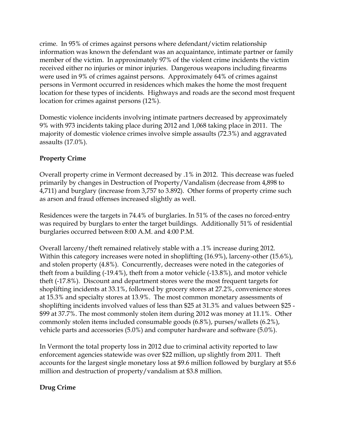crime. In 95% of crimes against persons where defendant/victim relationship information was known the defendant was an acquaintance, intimate partner or family member of the victim. In approximately 97% of the violent crime incidents the victim received either no injuries or minor injuries. Dangerous weapons including firearms were used in 9% of crimes against persons. Approximately 64% of crimes against persons in Vermont occurred in residences which makes the home the most frequent location for these types of incidents. Highways and roads are the second most frequent location for crimes against persons (12%).

Domestic violence incidents involving intimate partners decreased by approximately 9% with 973 incidents taking place during 2012 and 1,068 taking place in 2011. The majority of domestic violence crimes involve simple assaults (72.3%) and aggravated assaults (17.0%).

# **Property Crime**

Overall property crime in Vermont decreased by .1% in 2012. This decrease was fueled primarily by changes in Destruction of Property/Vandalism (decrease from 4,898 to 4,711) and burglary (increase from 3,757 to 3.892). Other forms of property crime such as arson and fraud offenses increased slightly as well.

Residences were the targets in 74.4% of burglaries. In 51% of the cases no forced-entry was required by burglars to enter the target buildings. Additionally 51% of residential burglaries occurred between 8:00 A.M. and 4:00 P.M.

Overall larceny/theft remained relatively stable with a .1% increase during 2012. Within this category increases were noted in shoplifting (16.9%), larceny-other (15.6%), and stolen property (4.8%). Concurrently, decreases were noted in the categories of theft from a building (-19.4%), theft from a motor vehicle (-13.8%), and motor vehicle theft (-17.8%). Discount and department stores were the most frequent targets for shoplifting incidents at 33.1%, followed by grocery stores at 27.2%, convenience stores at 15.3% and specialty stores at 13.9%. The most common monetary assessments of shoplifting incidents involved values of less than \$25 at 31.3% and values between \$25 - \$99 at 37.7%. The most commonly stolen item during 2012 was money at 11.1%. Other commonly stolen items included consumable goods (6.8%), purses/wallets (6.2%), vehicle parts and accessories (5.0%) and computer hardware and software (5.0%).

In Vermont the total property loss in 2012 due to criminal activity reported to law enforcement agencies statewide was over \$22 million, up slightly from 2011. Theft accounts for the largest single monetary loss at \$9.6 million followed by burglary at \$5.6 million and destruction of property/vandalism at \$3.8 million.

## **Drug Crime**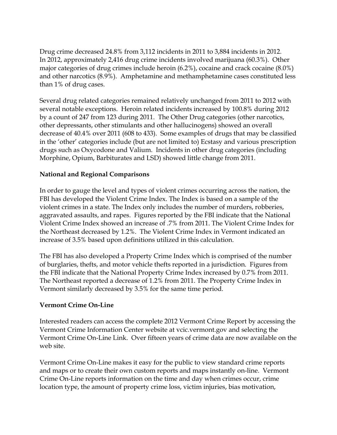Drug crime decreased 24.8% from 3,112 incidents in 2011 to 3,884 incidents in 2012. In 2012, approximately 2,416 drug crime incidents involved marijuana (60.3%). Other major categories of drug crimes include heroin (6.2%), cocaine and crack cocaine (8.0%) and other narcotics (8.9%). Amphetamine and methamphetamine cases constituted less than 1% of drug cases.

Several drug related categories remained relatively unchanged from 2011 to 2012 with several notable exceptions. Heroin related incidents increased by 100.8% during 2012 by a count of 247 from 123 during 2011. The Other Drug categories (other narcotics, other depressants, other stimulants and other hallucinogens) showed an overall decrease of 40.4% over 2011 (608 to 433). Some examples of drugs that may be classified in the 'other' categories include (but are not limited to) Ecstasy and various prescription drugs such as Oxycodone and Valium. Incidents in other drug categories (including Morphine, Opium, Barbiturates and LSD) showed little change from 2011.

### **National and Regional Comparisons**

In order to gauge the level and types of violent crimes occurring across the nation, the FBI has developed the Violent Crime Index. The Index is based on a sample of the violent crimes in a state. The Index only includes the number of murders, robberies, aggravated assaults, and rapes. Figures reported by the FBI indicate that the National Violent Crime Index showed an increase of .7% from 2011. The Violent Crime Index for the Northeast decreased by 1.2%. The Violent Crime Index in Vermont indicated an increase of 3.5% based upon definitions utilized in this calculation.

The FBI has also developed a Property Crime Index which is comprised of the number of burglaries, thefts, and motor vehicle thefts reported in a jurisdiction. Figures from the FBI indicate that the National Property Crime Index increased by 0.7% from 2011. The Northeast reported a decrease of 1.2% from 2011. The Property Crime Index in Vermont similarly decreased by 3.5% for the same time period.

#### **Vermont Crime On-Line**

Interested readers can access the complete 2012 Vermont Crime Report by accessing the Vermont Crime Information Center website at vcic.vermont.gov and selecting the Vermont Crime On-Line Link. Over fifteen years of crime data are now available on the web site.

Vermont Crime On-Line makes it easy for the public to view standard crime reports and maps or to create their own custom reports and maps instantly on-line. Vermont Crime On-Line reports information on the time and day when crimes occur, crime location type, the amount of property crime loss, victim injuries, bias motivation,